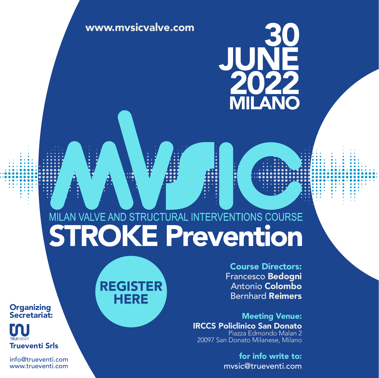# [www.mvsicvalve.com](https://mvsicvalve.com/) AN

## MILAN VALVE AND STRUCTURAL INTERVENTIONS COURSE

[REGISTER](https://trueventi.com/registrazione-mvsic-stroke-prevention/) **HERE** 

Course Directors: Francesco Bedogni Antonio Colombo Bernhard Reimers

Meeting Venue: IRCCS Policlinico San Donato Piazza Edmondo Malan 2 20097 San Donato Milanese, Milano

> for info write to: mvsic@trueventi.com

**Organizing** Secretariat:



info@trueventi.com [www.trueventi.com](https://trueventi.com/)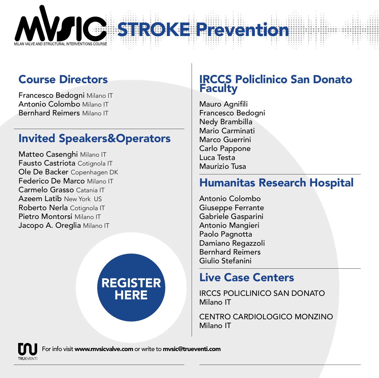

### Course Directors

Francesco Bedogni Milano IT Antonio Colombo Milano IT Bernhard Reimers Milano IT

#### Invited Speakers&Operators

Matteo Casenghi Milano IT Fausto Castriota Cotignola IT Ole De Backer Copenhagen DK Federico De Marco Milano IT Carmelo Grasso Catania IT Azeem Latib New York US Roberto Nerla Cotignola IT Pietro Montorsi Milano IT Jacopo A. Oreglia Milano IT



#### IRCCS Policlinico San Donato **Faculty**

Mauro Agnifili Francesco Bedogni Nedy Brambilla Mario Carminati Marco Guerrini Carlo Pappone Luca Testa Maurizio Tusa

#### Humanitas Research Hospital

Antonio Colombo Giuseppe Ferrante Gabriele Gasparini Antonio Mangieri Paolo Pagnotta Damiano Regazzoli Bernhard Reimers Giulio Stefanini

#### Live Case Centers

IRCCS POLICLINICO SAN DONATO Milano IT

CENTRO CARDIOLOGICO MONZINO Milano IT



For info visit www.mvsicvalve.com or write to mvsic@trueventi.com